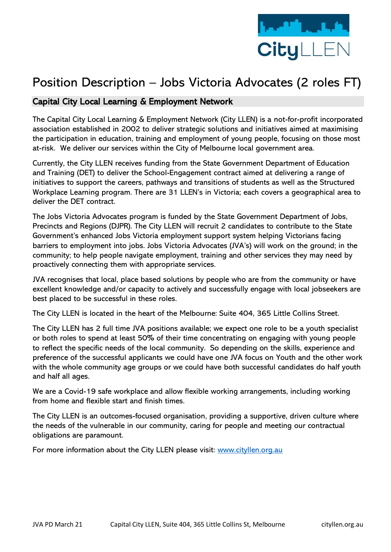

# Position Description – Jobs Victoria Advocates (2 roles FT)

# Capital City Local Learning & Employment Network

The Capital City Local Learning & Employment Network (City LLEN) is a not-for-profit incorporated association established in 2002 to deliver strategic solutions and initiatives aimed at maximising the participation in education, training and employment of young people, focusing on those most at-risk. We deliver our services within the City of Melbourne local government area.

Currently, the City LLEN receives funding from the State Government Department of Education and Training (DET) to deliver the School-Engagement contract aimed at delivering a range of initiatives to support the careers, pathways and transitions of students as well as the Structured Workplace Learning program. There are 31 LLEN's in Victoria; each covers a geographical area to deliver the DET contract.

The Jobs Victoria Advocates program is funded by the State Government Department of Jobs, Precincts and Regions (DJPR). The City LLEN will recruit 2 candidates to contribute to the State Government's enhanced Jobs Victoria employment support system helping Victorians facing barriers to employment into jobs. Jobs Victoria Advocates (JVA's) will work on the ground; in the community; to help people navigate employment, training and other services they may need by proactively connecting them with appropriate services.

JVA recognises that local, place based solutions by people who are from the community or have excellent knowledge and/or capacity to actively and successfully engage with local jobseekers are best placed to be successful in these roles.

The City LLEN is located in the heart of the Melbourne: Suite 404, 365 Little Collins Street.

The City LLEN has 2 full time JVA positions available; we expect one role to be a youth specialist or both roles to spend at least 50% of their time concentrating on engaging with young people to reflect the specific needs of the local community. So depending on the skills, experience and preference of the successful applicants we could have one JVA focus on Youth and the other work with the whole community age groups or we could have both successful candidates do half youth and half all ages.

We are a Covid-19 safe workplace and allow flexible working arrangements, including working from home and flexible start and finish times.

The City LLEN is an outcomes-focused organisation, providing a supportive, driven culture where the needs of the vulnerable in our community, caring for people and meeting our contractual obligations are paramount.

For more information about the City LLEN please visit: [www.cityllen.org.au](http://www.cityllen.org.au/)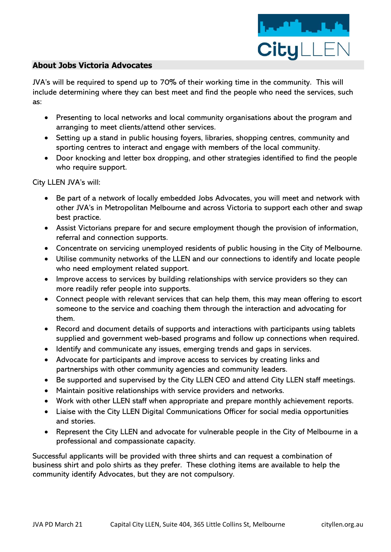

#### **About Jobs Victoria Advocates**

JVA's will be required to spend up to 70% of their working time in the community. This will include determining where they can best meet and find the people who need the services, such as:

- Presenting to local networks and local community organisations about the program and arranging to meet clients/attend other services.
- Setting up a stand in public housing foyers, libraries, shopping centres, community and sporting centres to interact and engage with members of the local community.
- Door knocking and letter box dropping, and other strategies identified to find the people who require support.

City LLEN JVA's will:

- Be part of a network of locally embedded Jobs Advocates, you will meet and network with other JVA's in Metropolitan Melbourne and across Victoria to support each other and swap best practice.
- Assist Victorians prepare for and secure employment though the provision of information, referral and connection supports.
- Concentrate on servicing unemployed residents of public housing in the City of Melbourne.
- Utilise community networks of the LLEN and our connections to identify and locate people who need employment related support.
- Improve access to services by building relationships with service providers so they can more readily refer people into supports.
- Connect people with relevant services that can help them, this may mean offering to escort someone to the service and coaching them through the interaction and advocating for them.
- Record and document details of supports and interactions with participants using tablets supplied and government web-based programs and follow up connections when required.
- Identify and communicate any issues, emerging trends and gaps in services.
- Advocate for participants and improve access to services by creating links and partnerships with other community agencies and community leaders.
- Be supported and supervised by the City LLEN CEO and attend City LLEN staff meetings.
- Maintain positive relationships with service providers and networks.
- Work with other LLEN staff when appropriate and prepare monthly achievement reports.
- Liaise with the City LLEN Digital Communications Officer for social media opportunities and stories.
- Represent the City LLEN and advocate for vulnerable people in the City of Melbourne in a professional and compassionate capacity.

Successful applicants will be provided with three shirts and can request a combination of business shirt and polo shirts as they prefer. These clothing items are available to help the community identify Advocates, but they are not compulsory.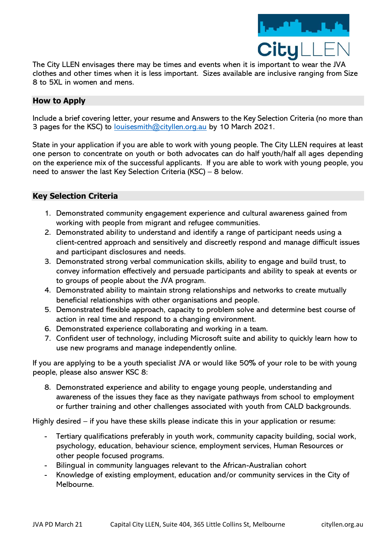

The City LLEN envisages there may be times and events when it is important to wear the JVA clothes and other times when it is less important. Sizes available are inclusive ranging from Size 8 to 5XL in women and mens.

## **How to Apply**

Include a brief covering letter, your resume and Answers to the Key Selection Criteria (no more than 3 pages for the KSC) to louises mith @cityllen.org.au by 10 March 2021.

State in your application if you are able to work with young people. The City LLEN requires at least one person to concentrate on youth or both advocates can do half youth/half all ages depending on the experience mix of the successful applicants. If you are able to work with young people, you need to answer the last Key Selection Criteria (KSC) – 8 below.

## **Key Selection Criteria**

- 1. Demonstrated community engagement experience and cultural awareness gained from working with people from migrant and refugee communities.
- 2. Demonstrated ability to understand and identify a range of participant needs using a client-centred approach and sensitively and discreetly respond and manage difficult issues and participant disclosures and needs.
- 3. Demonstrated strong verbal communication skills, ability to engage and build trust, to convey information effectively and persuade participants and ability to speak at events or to groups of people about the JVA program.
- 4. Demonstrated ability to maintain strong relationships and networks to create mutually beneficial relationships with other organisations and people.
- 5. Demonstrated flexible approach, capacity to problem solve and determine best course of action in real time and respond to a changing environment.
- 6. Demonstrated experience collaborating and working in a team.
- 7. Confident user of technology, including Microsoft suite and ability to quickly learn how to use new programs and manage independently online.

If you are applying to be a youth specialist JVA or would like 50% of your role to be with young people, please also answer KSC 8:

8. Demonstrated experience and ability to engage young people, understanding and awareness of the issues they face as they navigate pathways from school to employment or further training and other challenges associated with youth from CALD backgrounds.

Highly desired – if you have these skills please indicate this in your application or resume:

- Tertiary qualifications preferably in youth work, community capacity building, social work, psychology, education, behaviour science, employment services, Human Resources or other people focused programs.
- Bilingual in community languages relevant to the African-Australian cohort
- Knowledge of existing employment, education and/or community services in the City of Melbourne.